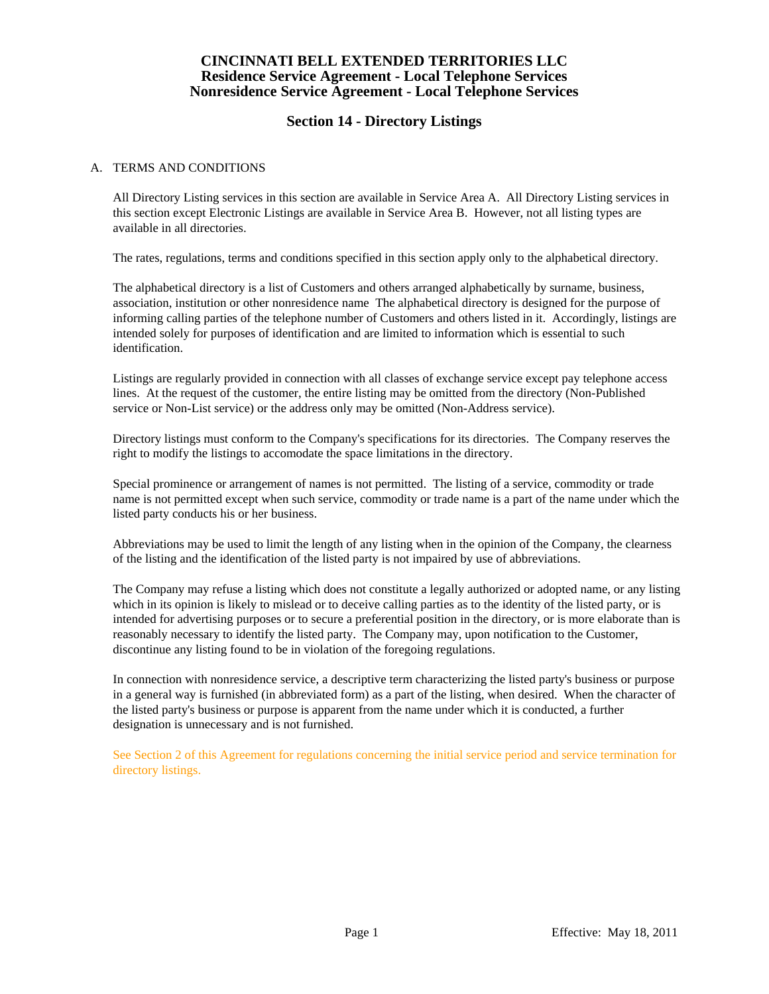# **Section 14 - Directory Listings**

### A. TERMS AND CONDITIONS

 All Directory Listing services in this section are available in Service Area A. All Directory Listing services in this section except Electronic Listings are available in Service Area B. However, not all listing types are available in all directories.

The rates, regulations, terms and conditions specified in this section apply only to the alphabetical directory.

 The alphabetical directory is a list of Customers and others arranged alphabetically by surname, business, association, institution or other nonresidence name The alphabetical directory is designed for the purpose of informing calling parties of the telephone number of Customers and others listed in it. Accordingly, listings are intended solely for purposes of identification and are limited to information which is essential to such identification.

 Listings are regularly provided in connection with all classes of exchange service except pay telephone access lines. At the request of the customer, the entire listing may be omitted from the directory (Non-Published service or Non-List service) or the address only may be omitted (Non-Address service).

 Directory listings must conform to the Company's specifications for its directories. The Company reserves the right to modify the listings to accomodate the space limitations in the directory.

 Special prominence or arrangement of names is not permitted. The listing of a service, commodity or trade name is not permitted except when such service, commodity or trade name is a part of the name under which the listed party conducts his or her business.

 Abbreviations may be used to limit the length of any listing when in the opinion of the Company, the clearness of the listing and the identification of the listed party is not impaired by use of abbreviations.

 The Company may refuse a listing which does not constitute a legally authorized or adopted name, or any listing which in its opinion is likely to mislead or to deceive calling parties as to the identity of the listed party, or is intended for advertising purposes or to secure a preferential position in the directory, or is more elaborate than is reasonably necessary to identify the listed party. The Company may, upon notification to the Customer, discontinue any listing found to be in violation of the foregoing regulations.

 In connection with nonresidence service, a descriptive term characterizing the listed party's business or purpose in a general way is furnished (in abbreviated form) as a part of the listing, when desired. When the character of the listed party's business or purpose is apparent from the name under which it is conducted, a further designation is unnecessary and is not furnished.

 See Section 2 of this Agreement for regulations concerning the initial service period and service termination for directory listings.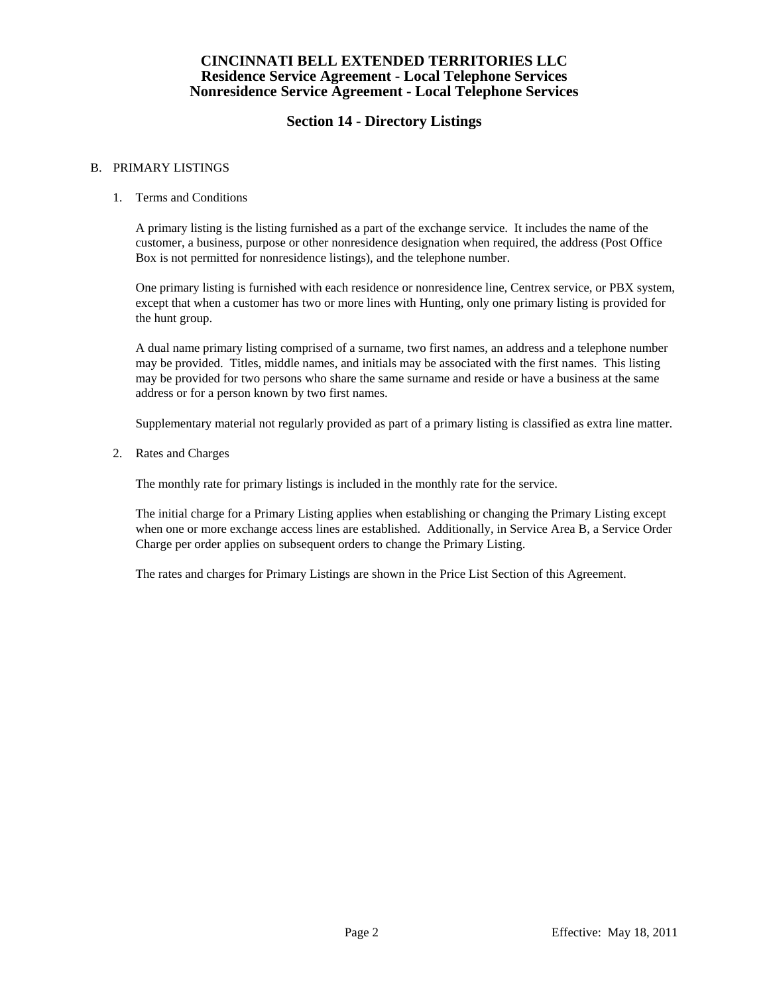# **Section 14 - Directory Listings**

### B. PRIMARY LISTINGS

### 1. Terms and Conditions

 A primary listing is the listing furnished as a part of the exchange service. It includes the name of the customer, a business, purpose or other nonresidence designation when required, the address (Post Office Box is not permitted for nonresidence listings), and the telephone number.

 One primary listing is furnished with each residence or nonresidence line, Centrex service, or PBX system, except that when a customer has two or more lines with Hunting, only one primary listing is provided for the hunt group.

 A dual name primary listing comprised of a surname, two first names, an address and a telephone number may be provided. Titles, middle names, and initials may be associated with the first names. This listing may be provided for two persons who share the same surname and reside or have a business at the same address or for a person known by two first names.

Supplementary material not regularly provided as part of a primary listing is classified as extra line matter.

2. Rates and Charges

The monthly rate for primary listings is included in the monthly rate for the service.

 The initial charge for a Primary Listing applies when establishing or changing the Primary Listing except when one or more exchange access lines are established. Additionally, in Service Area B, a Service Order Charge per order applies on subsequent orders to change the Primary Listing.

The rates and charges for Primary Listings are shown in the Price List Section of this Agreement.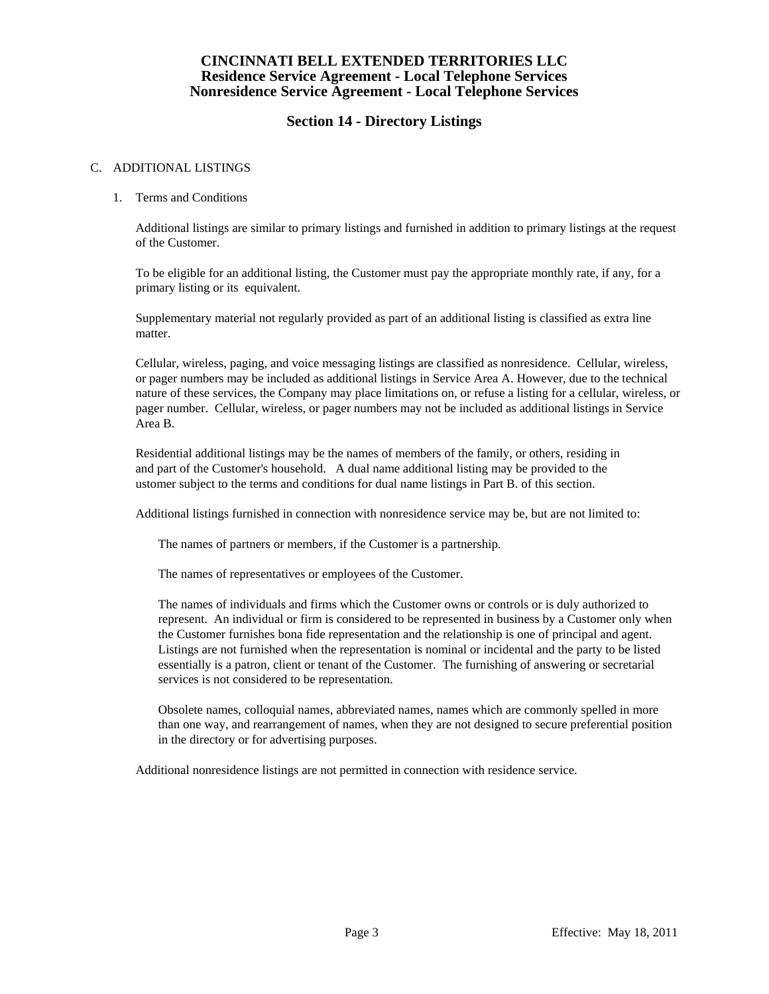# **Section 14 - Directory Listings**

### C. ADDITIONAL LISTINGS

### 1. Terms and Conditions

 Additional listings are similar to primary listings and furnished in addition to primary listings at the request of the Customer.

 To be eligible for an additional listing, the Customer must pay the appropriate monthly rate, if any, for a primary listing or its equivalent.

 Supplementary material not regularly provided as part of an additional listing is classified as extra line matter.

 Cellular, wireless, paging, and voice messaging listings are classified as nonresidence. Cellular, wireless, or pager numbers may be included as additional listings in Service Area A. However, due to the technical nature of these services, the Company may place limitations on, or refuse a listing for a cellular, wireless, or pager number. Cellular, wireless, or pager numbers may not be included as additional listings in Service Area B.

 Residential additional listings may be the names of members of the family, or others, residing in and part of the Customer's household. A dual name additional listing may be provided to the ustomer subject to the terms and conditions for dual name listings in Part B. of this section.

Additional listings furnished in connection with nonresidence service may be, but are not limited to:

The names of partners or members, if the Customer is a partnership.

The names of representatives or employees of the Customer.

 The names of individuals and firms which the Customer owns or controls or is duly authorized to represent. An individual or firm is considered to be represented in business by a Customer only when the Customer furnishes bona fide representation and the relationship is one of principal and agent. Listings are not furnished when the representation is nominal or incidental and the party to be listed essentially is a patron, client or tenant of the Customer. The furnishing of answering or secretarial services is not considered to be representation.

 Obsolete names, colloquial names, abbreviated names, names which are commonly spelled in more than one way, and rearrangement of names, when they are not designed to secure preferential position in the directory or for advertising purposes.

Additional nonresidence listings are not permitted in connection with residence service.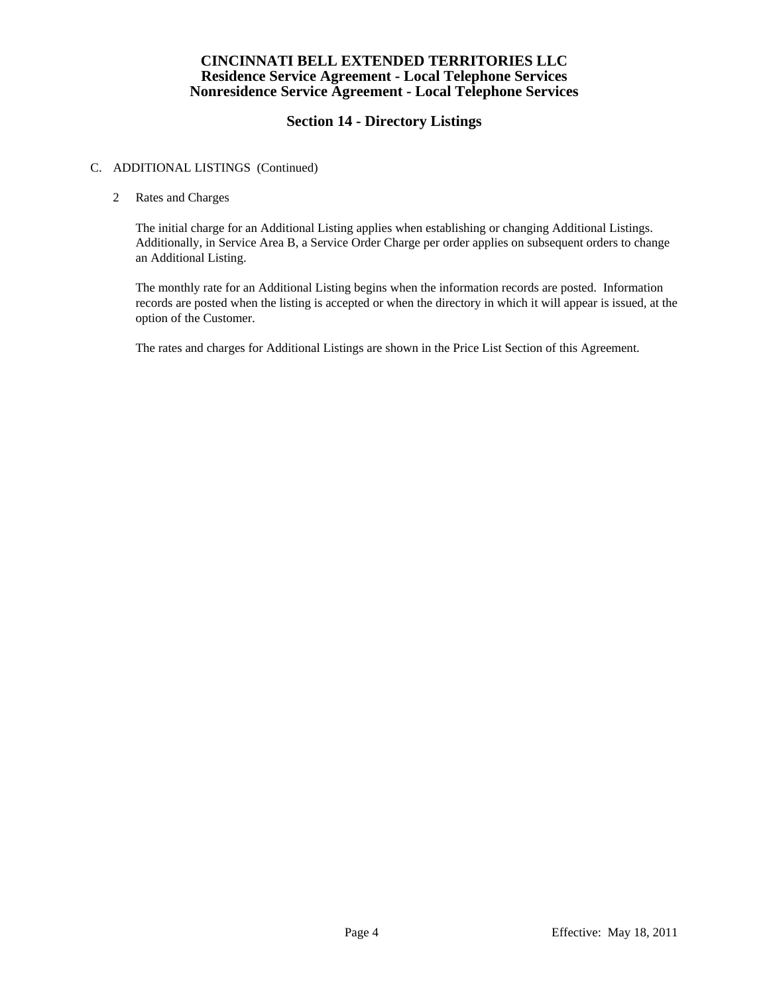# **Section 14 - Directory Listings**

### C. ADDITIONAL LISTINGS (Continued)

### 2 Rates and Charges

 The initial charge for an Additional Listing applies when establishing or changing Additional Listings. Additionally, in Service Area B, a Service Order Charge per order applies on subsequent orders to change an Additional Listing.

 The monthly rate for an Additional Listing begins when the information records are posted. Information records are posted when the listing is accepted or when the directory in which it will appear is issued, at the option of the Customer.

The rates and charges for Additional Listings are shown in the Price List Section of this Agreement.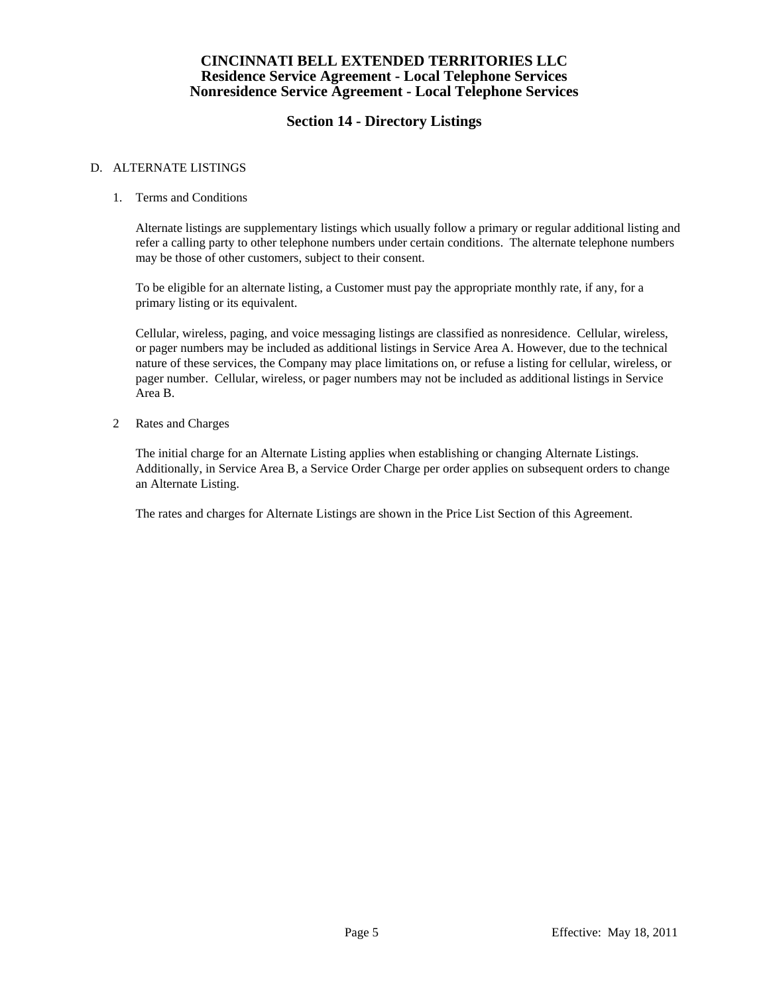# **Section 14 - Directory Listings**

### D. ALTERNATE LISTINGS

### 1. Terms and Conditions

 Alternate listings are supplementary listings which usually follow a primary or regular additional listing and refer a calling party to other telephone numbers under certain conditions. The alternate telephone numbers may be those of other customers, subject to their consent.

 To be eligible for an alternate listing, a Customer must pay the appropriate monthly rate, if any, for a primary listing or its equivalent.

 Cellular, wireless, paging, and voice messaging listings are classified as nonresidence. Cellular, wireless, or pager numbers may be included as additional listings in Service Area A. However, due to the technical nature of these services, the Company may place limitations on, or refuse a listing for cellular, wireless, or pager number. Cellular, wireless, or pager numbers may not be included as additional listings in Service Area B.

2 Rates and Charges

 The initial charge for an Alternate Listing applies when establishing or changing Alternate Listings. Additionally, in Service Area B, a Service Order Charge per order applies on subsequent orders to change an Alternate Listing.

The rates and charges for Alternate Listings are shown in the Price List Section of this Agreement.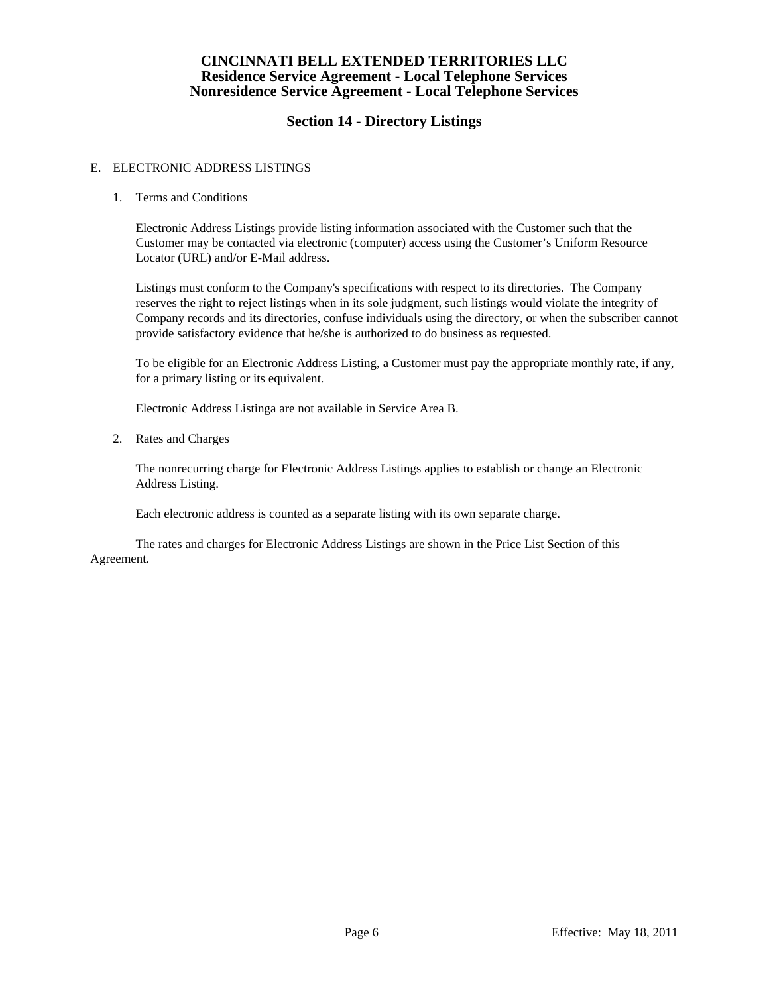# **Section 14 - Directory Listings**

### E. ELECTRONIC ADDRESS LISTINGS

### 1. Terms and Conditions

 Electronic Address Listings provide listing information associated with the Customer such that the Customer may be contacted via electronic (computer) access using the Customer's Uniform Resource Locator (URL) and/or E-Mail address.

 Listings must conform to the Company's specifications with respect to its directories. The Company reserves the right to reject listings when in its sole judgment, such listings would violate the integrity of Company records and its directories, confuse individuals using the directory, or when the subscriber cannot provide satisfactory evidence that he/she is authorized to do business as requested.

 To be eligible for an Electronic Address Listing, a Customer must pay the appropriate monthly rate, if any, for a primary listing or its equivalent.

Electronic Address Listinga are not available in Service Area B.

2. Rates and Charges

 The nonrecurring charge for Electronic Address Listings applies to establish or change an Electronic Address Listing.

Each electronic address is counted as a separate listing with its own separate charge.

 The rates and charges for Electronic Address Listings are shown in the Price List Section of this Agreement.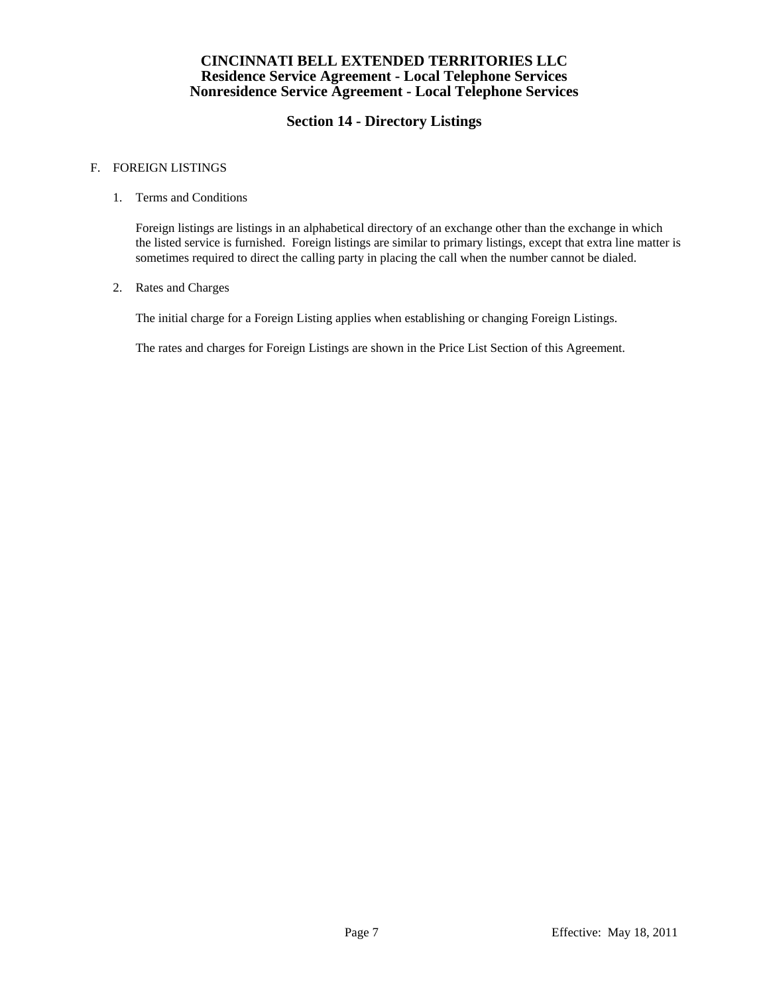# **Section 14 - Directory Listings**

### F. FOREIGN LISTINGS

### 1. Terms and Conditions

 Foreign listings are listings in an alphabetical directory of an exchange other than the exchange in which the listed service is furnished. Foreign listings are similar to primary listings, except that extra line matter is sometimes required to direct the calling party in placing the call when the number cannot be dialed.

### 2. Rates and Charges

The initial charge for a Foreign Listing applies when establishing or changing Foreign Listings.

The rates and charges for Foreign Listings are shown in the Price List Section of this Agreement.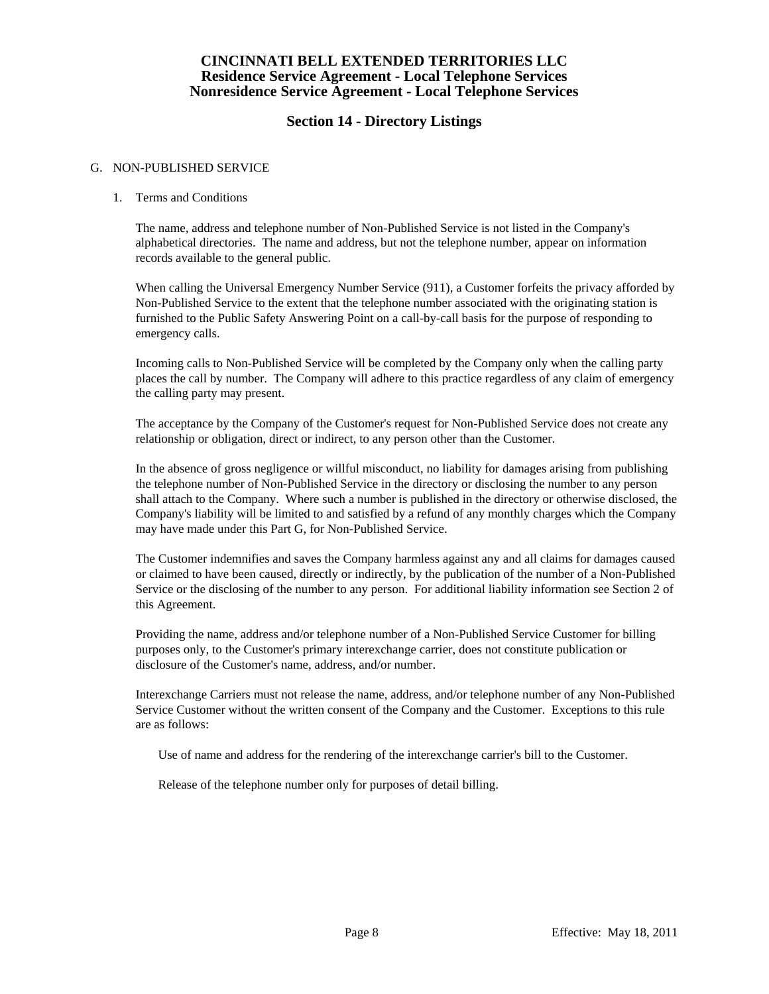# **Section 14 - Directory Listings**

### G. NON-PUBLISHED SERVICE

### 1. Terms and Conditions

 The name, address and telephone number of Non-Published Service is not listed in the Company's alphabetical directories. The name and address, but not the telephone number, appear on information records available to the general public.

 When calling the Universal Emergency Number Service (911), a Customer forfeits the privacy afforded by Non-Published Service to the extent that the telephone number associated with the originating station is furnished to the Public Safety Answering Point on a call-by-call basis for the purpose of responding to emergency calls.

 Incoming calls to Non-Published Service will be completed by the Company only when the calling party places the call by number. The Company will adhere to this practice regardless of any claim of emergency the calling party may present.

 The acceptance by the Company of the Customer's request for Non-Published Service does not create any relationship or obligation, direct or indirect, to any person other than the Customer.

 In the absence of gross negligence or willful misconduct, no liability for damages arising from publishing the telephone number of Non-Published Service in the directory or disclosing the number to any person shall attach to the Company. Where such a number is published in the directory or otherwise disclosed, the Company's liability will be limited to and satisfied by a refund of any monthly charges which the Company may have made under this Part G, for Non-Published Service.

 The Customer indemnifies and saves the Company harmless against any and all claims for damages caused or claimed to have been caused, directly or indirectly, by the publication of the number of a Non-Published Service or the disclosing of the number to any person. For additional liability information see Section 2 of this Agreement.

 Providing the name, address and/or telephone number of a Non-Published Service Customer for billing purposes only, to the Customer's primary interexchange carrier, does not constitute publication or disclosure of the Customer's name, address, and/or number.

 Interexchange Carriers must not release the name, address, and/or telephone number of any Non-Published Service Customer without the written consent of the Company and the Customer. Exceptions to this rule are as follows:

Use of name and address for the rendering of the interexchange carrier's bill to the Customer.

Release of the telephone number only for purposes of detail billing.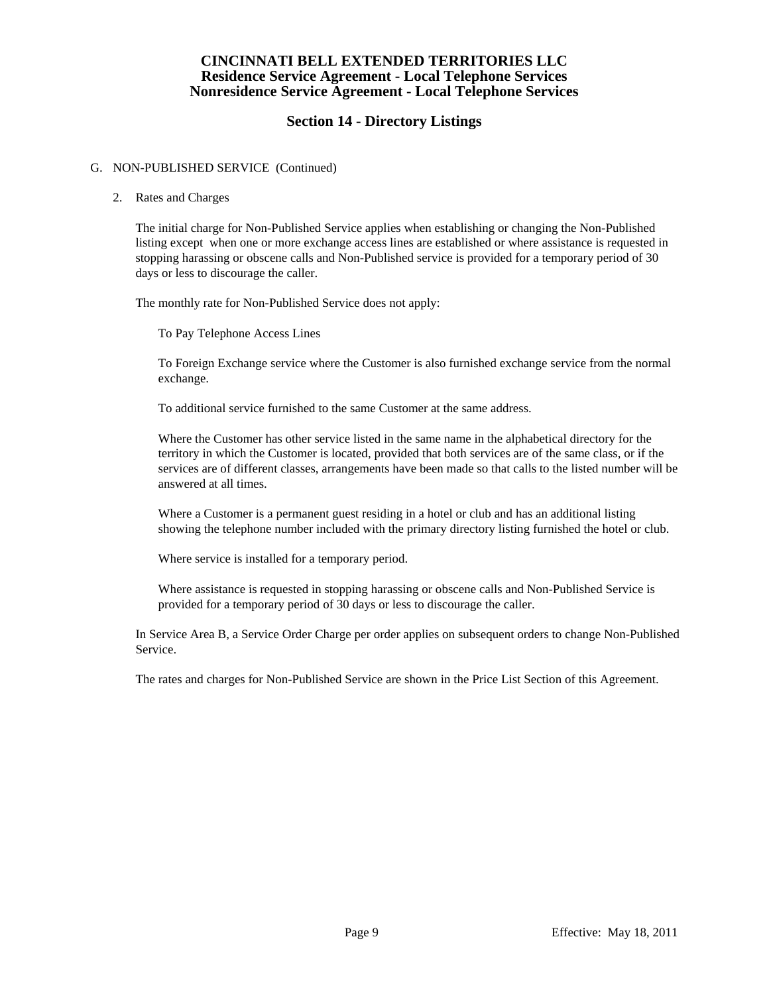## **Section 14 - Directory Listings**

### G. NON-PUBLISHED SERVICE (Continued)

### 2. Rates and Charges

 The initial charge for Non-Published Service applies when establishing or changing the Non-Published listing except when one or more exchange access lines are established or where assistance is requested in stopping harassing or obscene calls and Non-Published service is provided for a temporary period of 30 days or less to discourage the caller.

The monthly rate for Non-Published Service does not apply:

To Pay Telephone Access Lines

 To Foreign Exchange service where the Customer is also furnished exchange service from the normal exchange.

To additional service furnished to the same Customer at the same address.

 Where the Customer has other service listed in the same name in the alphabetical directory for the territory in which the Customer is located, provided that both services are of the same class, or if the services are of different classes, arrangements have been made so that calls to the listed number will be answered at all times.

 Where a Customer is a permanent guest residing in a hotel or club and has an additional listing showing the telephone number included with the primary directory listing furnished the hotel or club.

Where service is installed for a temporary period.

 Where assistance is requested in stopping harassing or obscene calls and Non-Published Service is provided for a temporary period of 30 days or less to discourage the caller.

 In Service Area B, a Service Order Charge per order applies on subsequent orders to change Non-Published Service.

The rates and charges for Non-Published Service are shown in the Price List Section of this Agreement.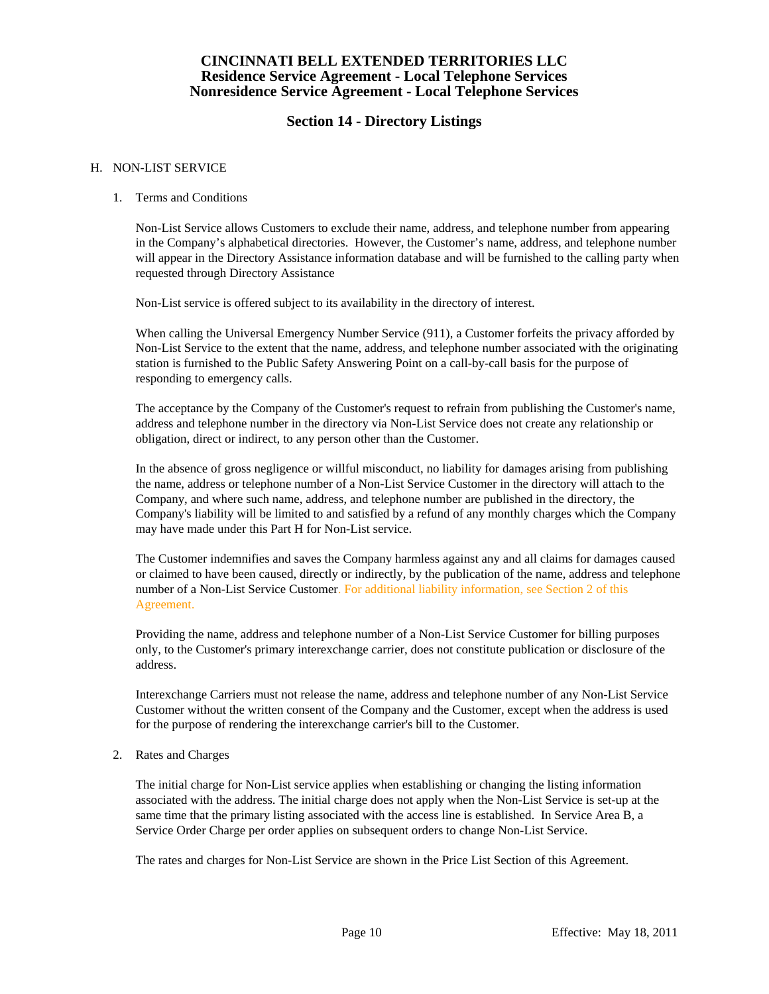## **Section 14 - Directory Listings**

### H. NON-LIST SERVICE

### 1. Terms and Conditions

 Non-List Service allows Customers to exclude their name, address, and telephone number from appearing in the Company's alphabetical directories. However, the Customer's name, address, and telephone number will appear in the Directory Assistance information database and will be furnished to the calling party when requested through Directory Assistance

Non-List service is offered subject to its availability in the directory of interest.

 When calling the Universal Emergency Number Service (911), a Customer forfeits the privacy afforded by Non-List Service to the extent that the name, address, and telephone number associated with the originating station is furnished to the Public Safety Answering Point on a call-by-call basis for the purpose of responding to emergency calls.

 The acceptance by the Company of the Customer's request to refrain from publishing the Customer's name, address and telephone number in the directory via Non-List Service does not create any relationship or obligation, direct or indirect, to any person other than the Customer.

 In the absence of gross negligence or willful misconduct, no liability for damages arising from publishing the name, address or telephone number of a Non-List Service Customer in the directory will attach to the Company, and where such name, address, and telephone number are published in the directory, the Company's liability will be limited to and satisfied by a refund of any monthly charges which the Company may have made under this Part H for Non-List service.

 The Customer indemnifies and saves the Company harmless against any and all claims for damages caused or claimed to have been caused, directly or indirectly, by the publication of the name, address and telephone number of a Non-List Service Customer. For additional liability information, see Section 2 of this Agreement.

 Providing the name, address and telephone number of a Non-List Service Customer for billing purposes only, to the Customer's primary interexchange carrier, does not constitute publication or disclosure of the address.

 Interexchange Carriers must not release the name, address and telephone number of any Non-List Service Customer without the written consent of the Company and the Customer, except when the address is used for the purpose of rendering the interexchange carrier's bill to the Customer.

2. Rates and Charges

 The initial charge for Non-List service applies when establishing or changing the listing information associated with the address. The initial charge does not apply when the Non-List Service is set-up at the same time that the primary listing associated with the access line is established. In Service Area B, a Service Order Charge per order applies on subsequent orders to change Non-List Service.

The rates and charges for Non-List Service are shown in the Price List Section of this Agreement.